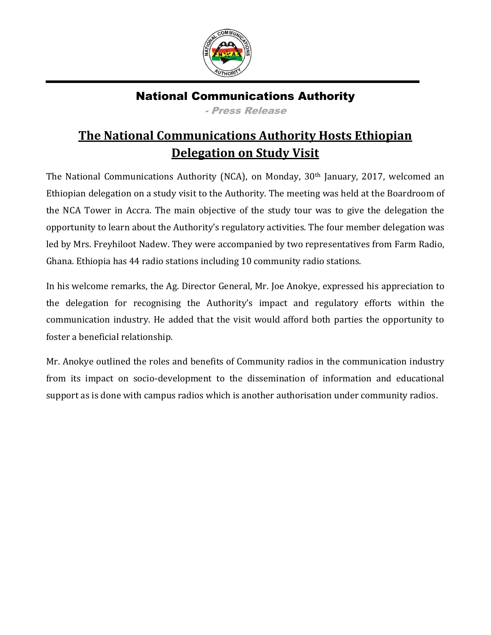

## National Communications Authority

- Press Release

## **The National Communications Authority Hosts Ethiopian Delegation on Study Visit**

The National Communications Authority (NCA), on Monday, 30th January, 2017, welcomed an Ethiopian delegation on a study visit to the Authority. The meeting was held at the Boardroom of the NCA Tower in Accra. The main objective of the study tour was to give the delegation the opportunity to learn about the Authority's regulatory activities. The four member delegation was led by Mrs. Freyhiloot Nadew. They were accompanied by two representatives from Farm Radio, Ghana. Ethiopia has 44 radio stations including 10 community radio stations.

In his welcome remarks, the Ag. Director General, Mr. Joe Anokye, expressed his appreciation to the delegation for recognising the Authority's impact and regulatory efforts within the communication industry. He added that the visit would afford both parties the opportunity to foster a beneficial relationship.

Mr. Anokye outlined the roles and benefits of Community radios in the communication industry from its impact on socio-development to the dissemination of information and educational support as is done with campus radios which is another authorisation under community radios.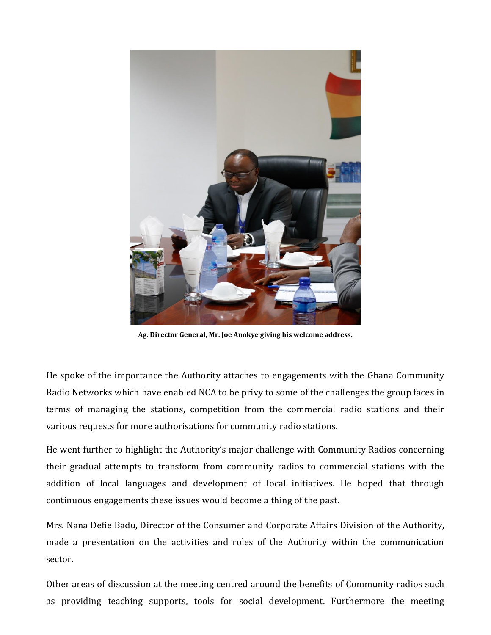

**Ag. Director General, Mr. Joe Anokye giving his welcome address.**

He spoke of the importance the Authority attaches to engagements with the Ghana Community Radio Networks which have enabled NCA to be privy to some of the challenges the group faces in terms of managing the stations, competition from the commercial radio stations and their various requests for more authorisations for community radio stations.

He went further to highlight the Authority's major challenge with Community Radios concerning their gradual attempts to transform from community radios to commercial stations with the addition of local languages and development of local initiatives. He hoped that through continuous engagements these issues would become a thing of the past.

Mrs. Nana Defie Badu, Director of the Consumer and Corporate Affairs Division of the Authority, made a presentation on the activities and roles of the Authority within the communication sector.

Other areas of discussion at the meeting centred around the benefits of Community radios such as providing teaching supports, tools for social development. Furthermore the meeting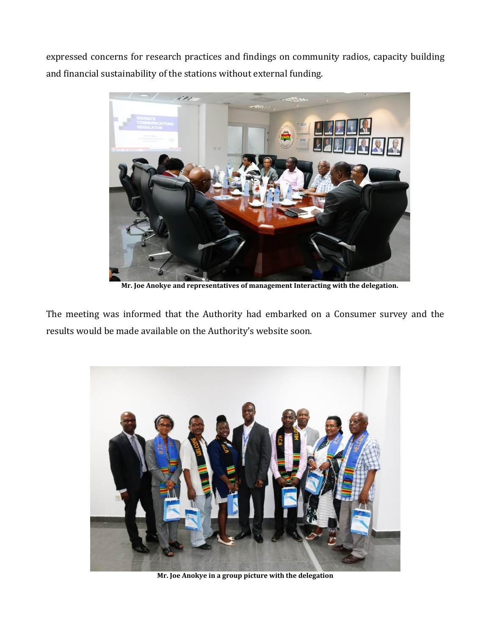expressed concerns for research practices and findings on community radios, capacity building and financial sustainability of the stations without external funding.



**Mr. Joe Anokye and representatives of management Interacting with the delegation.**

The meeting was informed that the Authority had embarked on a Consumer survey and the results would be made available on the Authority's website soon.



**Mr. Joe Anokye in a group picture with the delegation**